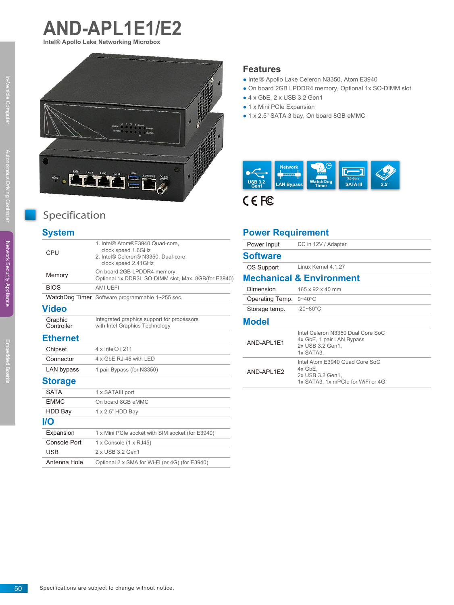



# Specification

### **System**

| CPU                   | 1. Intel® Atom®E3940 Quad-core.<br>clock speed 1.6GHz<br>2. Intel® Celeron® N3350, Dual-core,<br>clock speed 2.41GHz |
|-----------------------|----------------------------------------------------------------------------------------------------------------------|
| Memory                | On board 2GB LPDDR4 memory.<br>Optional 1x DDR3L SO-DIMM slot, Max. 8GB(for E3940)                                   |
| <b>BIOS</b>           | AMI UEFI                                                                                                             |
|                       | WatchDog Timer Software programmable 1~255 sec.                                                                      |
| Video                 |                                                                                                                      |
| Graphic<br>Controller | Integrated graphics support for processors<br>with Intel Graphics Technology                                         |
| <b>Ethernet</b>       |                                                                                                                      |
| Chipset               | 4 x Intel® i 211                                                                                                     |
| Connector             | 4 x GbE RJ-45 with LED                                                                                               |
| LAN bypass            | 1 pair Bypass (for N3350)                                                                                            |
| <b>Storage</b>        |                                                                                                                      |
| <b>SATA</b>           | 1 x SATAIII port                                                                                                     |
| <b>EMMC</b>           | On board 8GB eMMC                                                                                                    |
| HDD Bay               | 1 x 2.5" HDD Bay                                                                                                     |
| I/O                   |                                                                                                                      |
| Expansion             | 1 x Mini PCIe socket with SIM socket (for E3940)                                                                     |
| Console Port          | 1 x Console (1 x RJ45)                                                                                               |
| <b>USB</b>            | 2 x USB 3.2 Gen1                                                                                                     |
| Antenna Hole          | Optional 2 x SMA for Wi-Fi (or 4G) (for E3940)                                                                       |

#### **Features**

- Intel® Apollo Lake Celeron N3350, Atom E3940
- On board 2GB LPDDR4 memory, Optional 1x SO-DIMM slot
- $\bullet$  4 x GbE, 2 x USB 3.2 Gen1
- 1 x Mini PCIe Expansion
- 1 x 2.5" SATA 3 bay, On board 8GB eMMC



#### **Power Requirement**

| Power Input     | DC in 12V / Adapter                                                                                |
|-----------------|----------------------------------------------------------------------------------------------------|
| <b>Software</b> |                                                                                                    |
| OS Support      | Linux Kernel 4.1.27                                                                                |
|                 | <b>Mechanical &amp; Environment</b>                                                                |
| Dimension       | 165 x 92 x 40 mm                                                                                   |
| Operating Temp. | $0 - 40^{\circ}$ C                                                                                 |
| Storage temp.   | $-20 - 80^{\circ}$ C                                                                               |
| <b>Model</b>    |                                                                                                    |
| AND-API 1F1     | Intel Celeron N3350 Dual Core SoC<br>4x GbE, 1 pair LAN Bypass<br>2x USB 3.2 Gen1,<br>1x SATA3.    |
| AND-APL1E2      | Intel Atom E3940 Quad Core SoC<br>4x GbE,<br>2x USB 3.2 Gen1,<br>1x SATA3, 1x mPCle for WiFi or 4G |